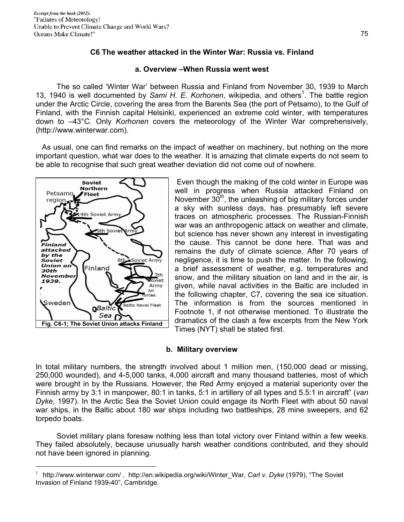# **C6 The weather attacked in the Winter War: Russia vs. Finland**

#### **a. Overview –When Russia went west**

 The so called 'Winter War' between Russia and Finland from November 30, 1939 to March 13, 1940 is well documented by Sami H. E. Korhonen, wikipedia, and others<sup>1</sup>. The battle region under the Arctic Circle, covering the area from the Barents Sea (the port of Petsamo), to the Gulf of Finland, with the Finnish capital Helsinki, experienced an extreme cold winter, with temperatures down to –43°C. Only *Korhonen* covers the meteorology of the Winter War comprehensively, (http://www.winterwar.com).

 As usual, one can find remarks on the impact of weather on machinery, but nothing on the more important question, what war does to the weather. It is amazing that climate experts do not seem to be able to recognise that such great weather deviation did not come out of nowhere.



 $\overline{a}$ 

 Even though the making of the cold winter in Europe was well in progress when Russia attacked Finland on November  $30<sup>th</sup>$ , the unleashing of big military forces under a sky with sunless days, has presumably left severe traces on atmospheric processes. The Russian-Finnish war was an anthropogenic attack on weather and climate, but science has never shown any interest in investigating the cause. This cannot be done here. That was and remains the duty of climate science. After 70 years of negligence, it is time to push the matter. In the following, a brief assessment of weather, e.g. temperatures and snow, and the military situation on land and in the air, is given, while naval activities in the Baltic are included in the following chapter, C7, covering the sea ice situation. The information is from the sources mentioned in Footnote 1, if not otherwise mentioned. To illustrate the dramatics of the clash a few excerpts from the New York Times (NYT) shall be stated first.

#### **b. Military overview**

In total military numbers, the strength involved about 1 million men, (150,000 dead or missing, 250,000 wounded), and 4-5,000 tanks, 4,000 aircraft and many thousand batteries, most of which were brought in by the Russians. However, the Red Army enjoyed a material superiority over the Finnish army by 3:1 in manpower, 80:1 in tanks, 5:1 in artillery of all types and 5.5:1 in aircraft" (*van Dyke*, 1997). In the Arctic Sea the Soviet Union could engage its North Fleet with about 50 naval war ships, in the Baltic about 180 war ships including two battleships, 28 mine sweepers, and 62 torpedo boats.

 Soviet military plans foresaw nothing less than total victory over Finland within a few weeks. They failed absolutely, because unusually harsh weather conditions contributed, and they should not have been ignored in planning.

<sup>1</sup> http://www.winterwar.com/ , http://en.wikipedia.org/wiki/Winter\_War, *Carl v. Dyke* (1979), "The Soviet Invasion of Finland 1939-40", Cambridge.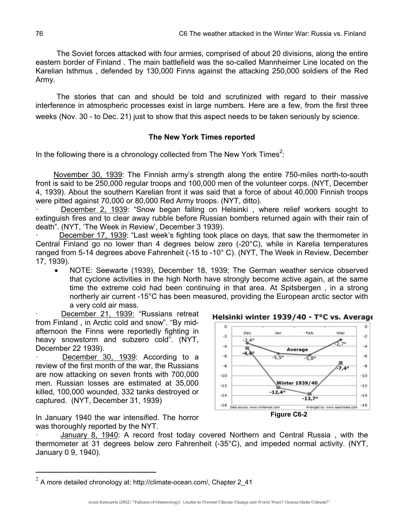The Soviet forces attacked with four armies, comprised of about 20 divisions, along the entire eastern border of Finland . The main battlefield was the so-called Mannheimer Line located on the Karelian Isthmus , defended by 130,000 Finns against the attacking 250,000 soldiers of the Red Army.

 The stories that can and should be told and scrutinized with regard to their massive interference in atmospheric processes exist in large numbers. Here are a few, from the first three weeks (Nov. 30 - to Dec. 21) just to show that this aspect needs to be taken seriously by science.

# **The New York Times reported**

In the following there is a chronology collected from The New York Times<sup>2</sup>:

 November 30, 1939: The Finnish army's strength along the entire 750-miles north-to-south front is said to be 250,000 regular troops and 100,000 men of the volunteer corps. (NYT, December 4, 1939). About the southern Karelian front it was said that a force of about 40,000 Finnish troops were pitted against 70,000 or 80,000 Red Army troops. (NYT, ditto).

December 2, 1939: "Snow began falling on Helsinki, where relief workers sought to extinguish fires and to clear away rubble before Russian bombers returned again with their rain of death". (NYT, 'The Week in Review', December 3 1939).

· December 17, 1939: "Last week's fighting took place on days, that saw the thermometer in Central Finland go no lower than 4 degrees below zero (-20°C), while in Karelia temperatures ranged from 5-14 degrees above Fahrenheit (-15 to -10° C). (NYT, The Week in Review, December 17, 1939).

• NOTE: Seewarte (1939), December 18, 1939; The German weather service observed that cyclone activities in the high North have strongly become active again, at the same time the extreme cold had been continuing in that area. At Spitsbergen , in a strong northerly air current -15°C has been measured, providing the European arctic sector with a very cold air mass.

December 21, 1939: "Russians retreat from Finland , in Arctic cold and snow". "By midafternoon the Finns were reportedly fighting in heavy snowstorm and subzero cold". (NYT, December 22 1939).

December 30, 1939: According to a review of the first month of the war, the Russians are now attacking on seven fronts with 700,000 men. Russian losses are estimated at 35,000 killed, 100,000 wounded, 332 tanks destroyed or captured. (NYT, December 31, 1939)

In January 1940 the war intensified. The horror was thoroughly reported by the NYT.

 $\overline{a}$ 





January 8, 1940: A record frost today covered Northern and Central Russia, with the thermometer at 31 degrees below zero Fahrenheit (-35°C), and impeded normal activity. (NYT, January 0 9, 1940).

 $2$  A more detailed chronology at: http://climate-ocean.com/, Chapter 2\_41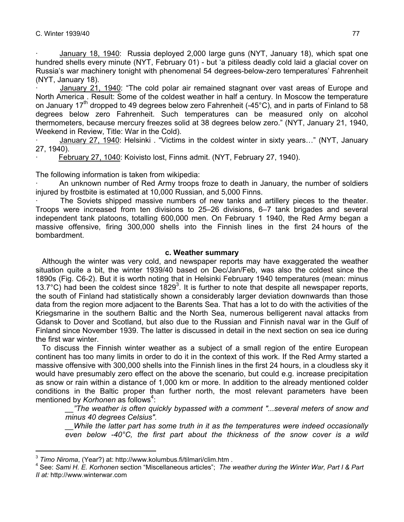· January 18, 1940: Russia deployed 2,000 large guns (NYT, January 18), which spat one hundred shells every minute (NYT, February 01) - but 'a pitiless deadly cold laid a glacial cover on Russia's war machinery tonight with phenomenal 54 degrees-below-zero temperatures' Fahrenheit (NYT, January 18).

January 21, 1940: "The cold polar air remained stagnant over vast areas of Europe and North America . Result: Some of the coldest weather in half a century. In Moscow the temperature on January 17<sup>th</sup> dropped to 49 degrees below zero Fahrenheit (-45°C), and in parts of Finland to 58 degrees below zero Fahrenheit. Such temperatures can be measured only on alcohol thermometers, because mercury freezes solid at 38 degrees below zero." (NYT, January 21, 1940, Weekend in Review, Title: War in the Cold).

January 27, 1940: Helsinki . "Victims in the coldest winter in sixty years..." (NYT, January 27, 1940).

February 27, 1040: Koivisto lost, Finns admit. (NYT, February 27, 1940).

The following information is taken from wikipedia:

· An unknown number of Red Army troops froze to death in January, the number of soldiers injured by frostbite is estimated at 10,000 Russian, and 5,000 Finns.

The Soviets shipped massive numbers of new tanks and artillery pieces to the theater. Troops were increased from ten divisions to 25–26 divisions, 6–7 tank brigades and several independent tank platoons, totalling 600,000 men. On February 1 1940, the Red Army began a massive offensive, firing 300,000 shells into the Finnish lines in the first 24 hours of the bombardment.

## **c. Weather summary**

 Although the winter was very cold, and newspaper reports may have exaggerated the weather situation quite a bit, the winter 1939/40 based on Dec/Jan/Feb, was also the coldest since the 1890s (Fig. C6-2). But it is worth noting that in Helsinki February 1940 temperatures (mean: minus 13.7°C) had been the coldest since  $1829<sup>3</sup>$ . It is further to note that despite all newspaper reports, the south of Finland had statistically shown a considerably larger deviation downwards than those data from the region more adjacent to the Barents Sea. That has a lot to do with the activities of the Kriegsmarine in the southern Baltic and the North Sea, numerous belligerent naval attacks from Gdansk to Dover and Scotland, but also due to the Russian and Finnish naval war in the Gulf of Finland since November 1939. The latter is discussed in detail in the next section on sea ice during the first war winter.

 To discuss the Finnish winter weather as a subject of a small region of the entire European continent has too many limits in order to do it in the context of this work. If the Red Army started a massive offensive with 300,000 shells into the Finnish lines in the first 24 hours, in a cloudless sky it would have presumably zero effect on the above the scenario, but could e.g. increase precipitation as snow or rain within a distance of 1,000 km or more. In addition to the already mentioned colder conditions in the Baltic proper than further north, the most relevant parameters have been mentioned by *Korhonen* as follows<sup>4</sup>:

*\_\_"The weather is often quickly bypassed with a comment "...several meters of snow and minus 40 degrees Celsius".* 

*\_\_While the latter part has some truth in it as the temperatures were indeed occasionally even below -40°C, the first part about the thickness of the snow cover is a wild* 

 $\overline{a}$ 

<sup>3</sup> *Timo Niroma*, (Year?) at: http://www.kolumbus.fi/tilmari/clim.htm . 4

See: *Sami H. E. Korhonen* section "Miscellaneous articles"; *The weather during the Winter War, Part I & Part II at:* http://www.winterwar.com